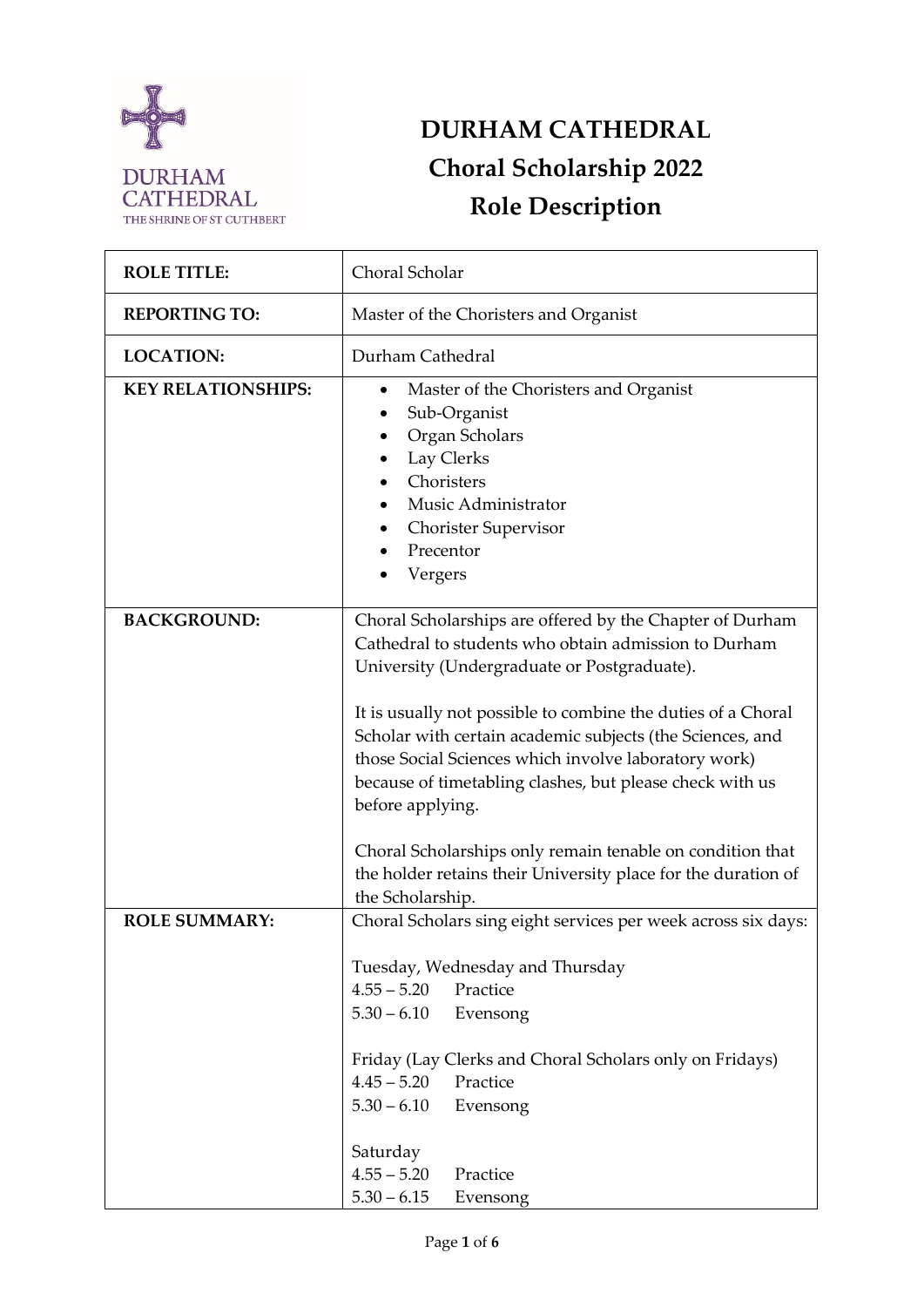

# **DURHAM CATHEDRAL Choral Scholarship 2022 Role Description**

| <b>ROLE TITLE:</b>        | Choral Scholar                                                                                                                                                                                                                                                                                                                                                                                                                                                                                    |  |  |  |
|---------------------------|---------------------------------------------------------------------------------------------------------------------------------------------------------------------------------------------------------------------------------------------------------------------------------------------------------------------------------------------------------------------------------------------------------------------------------------------------------------------------------------------------|--|--|--|
| <b>REPORTING TO:</b>      | Master of the Choristers and Organist                                                                                                                                                                                                                                                                                                                                                                                                                                                             |  |  |  |
| <b>LOCATION:</b>          | Durham Cathedral                                                                                                                                                                                                                                                                                                                                                                                                                                                                                  |  |  |  |
| <b>KEY RELATIONSHIPS:</b> | Master of the Choristers and Organist<br>$\bullet$<br>Sub-Organist<br>Organ Scholars<br>Lay Clerks<br>Choristers<br>Music Administrator<br>$\bullet$<br><b>Chorister Supervisor</b><br>Precentor<br>Vergers                                                                                                                                                                                                                                                                                       |  |  |  |
| <b>BACKGROUND:</b>        | Choral Scholarships are offered by the Chapter of Durham<br>Cathedral to students who obtain admission to Durham<br>University (Undergraduate or Postgraduate).<br>It is usually not possible to combine the duties of a Choral<br>Scholar with certain academic subjects (the Sciences, and<br>those Social Sciences which involve laboratory work)<br>because of timetabling clashes, but please check with us<br>before applying.<br>Choral Scholarships only remain tenable on condition that |  |  |  |
|                           | the holder retains their University place for the duration of<br>the Scholarship.                                                                                                                                                                                                                                                                                                                                                                                                                 |  |  |  |
| <b>ROLE SUMMARY:</b>      | Choral Scholars sing eight services per week across six days:<br>Tuesday, Wednesday and Thursday<br>$4.55 - 5.20$<br>Practice<br>$5.30 - 6.10$<br>Evensong<br>Friday (Lay Clerks and Choral Scholars only on Fridays)<br>$4.45 - 5.20$<br>Practice<br>$5.30 - 6.10$<br>Evensong<br>Saturday                                                                                                                                                                                                       |  |  |  |
|                           | $4.55 - 5.20$<br>Practice<br>$5.30 - 6.15$<br>Evensong                                                                                                                                                                                                                                                                                                                                                                                                                                            |  |  |  |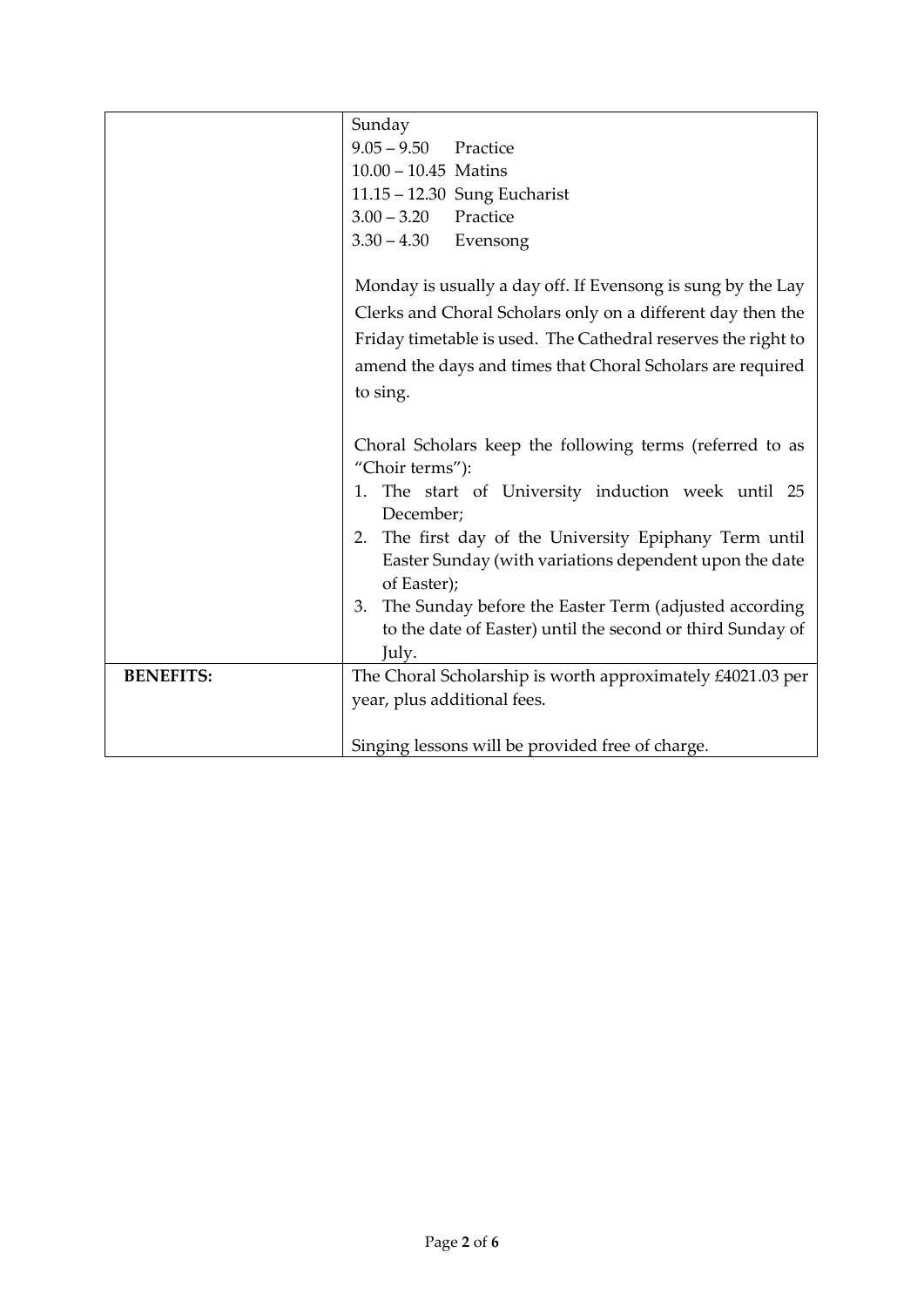|                  | Sunday                                                        |  |  |  |  |
|------------------|---------------------------------------------------------------|--|--|--|--|
|                  | $9.05 - 9.50$ Practice                                        |  |  |  |  |
|                  | $10.00 - 10.45$ Matins                                        |  |  |  |  |
|                  | 11.15 - 12.30 Sung Eucharist                                  |  |  |  |  |
|                  | Practice<br>$3.00 - 3.20$                                     |  |  |  |  |
|                  | $3.30 - 4.30$ Evensong                                        |  |  |  |  |
|                  |                                                               |  |  |  |  |
|                  | Monday is usually a day off. If Evensong is sung by the Lay   |  |  |  |  |
|                  | Clerks and Choral Scholars only on a different day then the   |  |  |  |  |
|                  | Friday timetable is used. The Cathedral reserves the right to |  |  |  |  |
|                  | amend the days and times that Choral Scholars are required    |  |  |  |  |
|                  | to sing.                                                      |  |  |  |  |
|                  |                                                               |  |  |  |  |
|                  | Choral Scholars keep the following terms (referred to as      |  |  |  |  |
|                  | "Choir terms"):                                               |  |  |  |  |
|                  | 1. The start of University induction week until 25            |  |  |  |  |
|                  | December;                                                     |  |  |  |  |
|                  | 2. The first day of the University Epiphany Term until        |  |  |  |  |
|                  | Easter Sunday (with variations dependent upon the date        |  |  |  |  |
|                  | of Easter);                                                   |  |  |  |  |
|                  | 3. The Sunday before the Easter Term (adjusted according      |  |  |  |  |
|                  | to the date of Easter) until the second or third Sunday of    |  |  |  |  |
|                  | July.                                                         |  |  |  |  |
| <b>BENEFITS:</b> | The Choral Scholarship is worth approximately £4021.03 per    |  |  |  |  |
|                  | year, plus additional fees.                                   |  |  |  |  |
|                  |                                                               |  |  |  |  |
|                  | Singing lessons will be provided free of charge.              |  |  |  |  |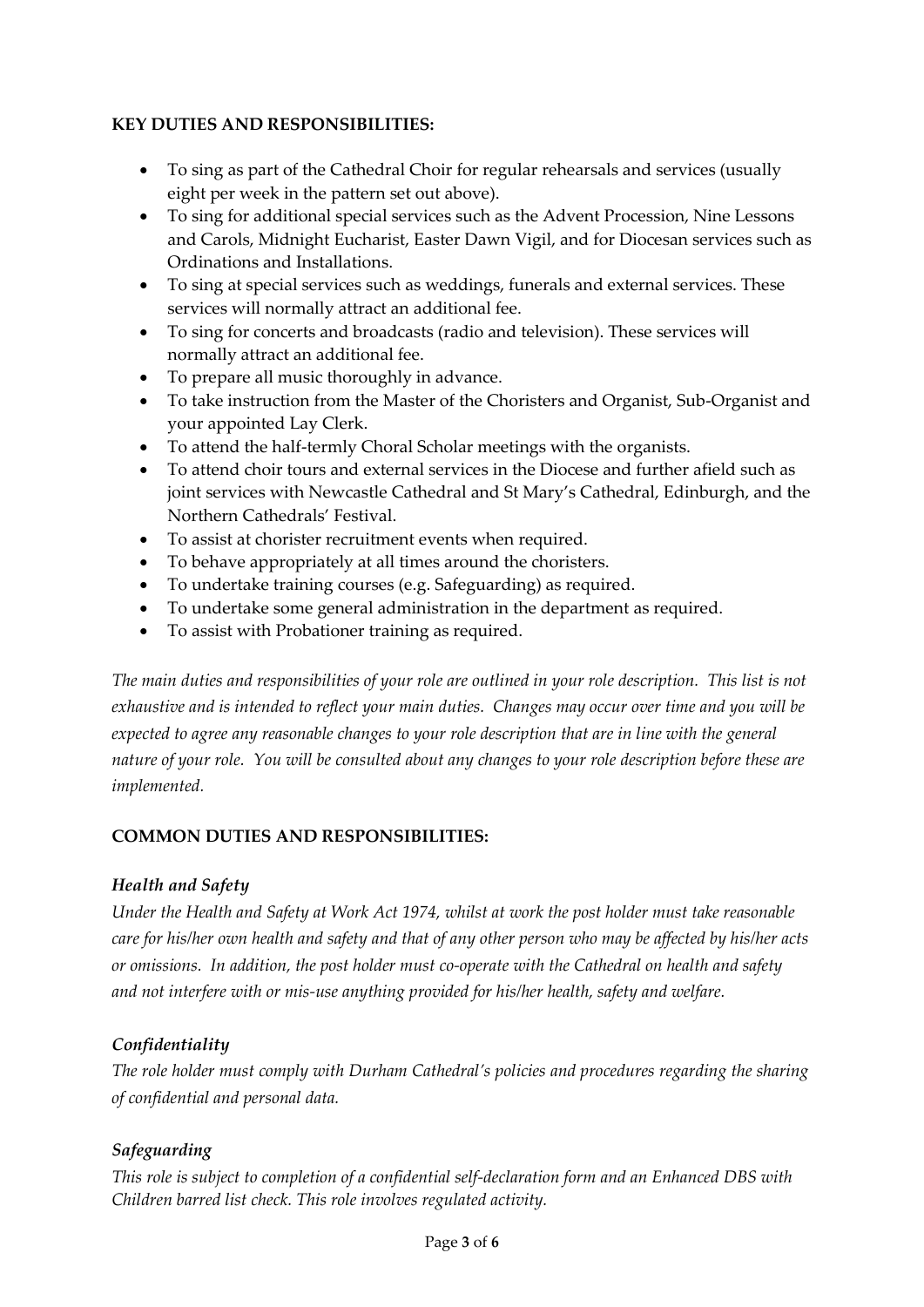#### **KEY DUTIES AND RESPONSIBILITIES:**

- To sing as part of the Cathedral Choir for regular rehearsals and services (usually eight per week in the pattern set out above).
- To sing for additional special services such as the Advent Procession, Nine Lessons and Carols, Midnight Eucharist, Easter Dawn Vigil, and for Diocesan services such as Ordinations and Installations.
- To sing at special services such as weddings, funerals and external services. These services will normally attract an additional fee.
- To sing for concerts and broadcasts (radio and television). These services will normally attract an additional fee.
- To prepare all music thoroughly in advance.
- To take instruction from the Master of the Choristers and Organist, Sub-Organist and your appointed Lay Clerk.
- To attend the half-termly Choral Scholar meetings with the organists.
- To attend choir tours and external services in the Diocese and further afield such as joint services with Newcastle Cathedral and St Mary's Cathedral, Edinburgh, and the Northern Cathedrals' Festival.
- To assist at chorister recruitment events when required.
- To behave appropriately at all times around the choristers.
- To undertake training courses (e.g. Safeguarding) as required.
- To undertake some general administration in the department as required.
- To assist with Probationer training as required.

*The main duties and responsibilities of your role are outlined in your role description. This list is not exhaustive and is intended to reflect your main duties. Changes may occur over time and you will be expected to agree any reasonable changes to your role description that are in line with the general nature of your role. You will be consulted about any changes to your role description before these are implemented.*

#### **COMMON DUTIES AND RESPONSIBILITIES:**

#### *Health and Safety*

*Under the Health and Safety at Work Act 1974, whilst at work the post holder must take reasonable care for his/her own health and safety and that of any other person who may be affected by his/her acts or omissions. In addition, the post holder must co-operate with the Cathedral on health and safety and not interfere with or mis-use anything provided for his/her health, safety and welfare.*

#### *Confidentiality*

*The role holder must comply with Durham Cathedral's policies and procedures regarding the sharing of confidential and personal data.* 

#### *Safeguarding*

*This role is subject to completion of a confidential self-declaration form and an Enhanced DBS with Children barred list check. This role involves regulated activity.*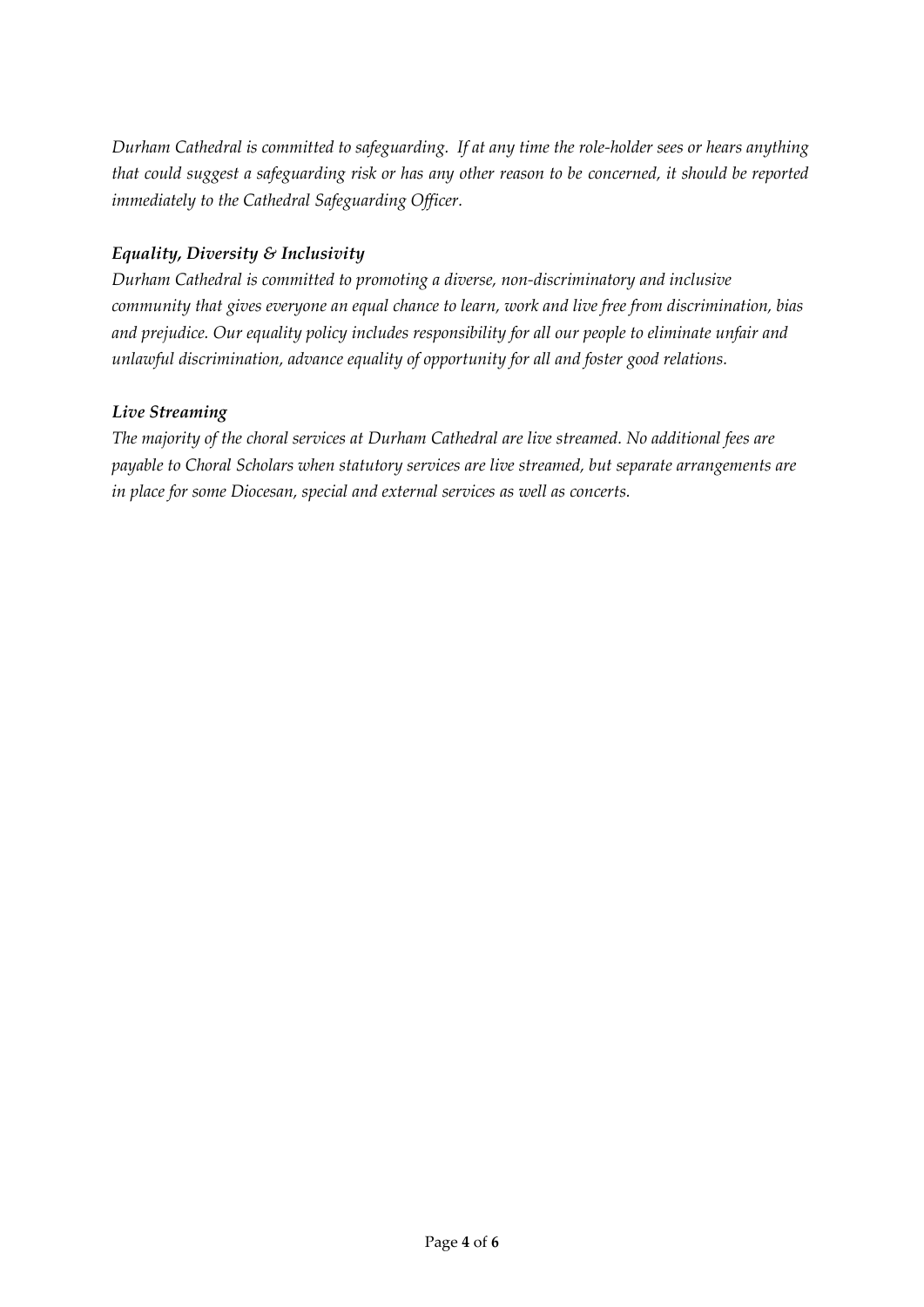*Durham Cathedral is committed to safeguarding. If at any time the role-holder sees or hears anything that could suggest a safeguarding risk or has any other reason to be concerned, it should be reported immediately to the Cathedral Safeguarding Officer.*

## *Equality, Diversity & Inclusivity*

*Durham Cathedral is committed to promoting a diverse, non-discriminatory and inclusive community that gives everyone an equal chance to learn, work and live free from discrimination, bias and prejudice. Our equality policy includes responsibility for all our people to eliminate unfair and unlawful discrimination, advance equality of opportunity for all and foster good relations.* 

#### *Live Streaming*

*The majority of the choral services at Durham Cathedral are live streamed. No additional fees are payable to Choral Scholars when statutory services are live streamed, but separate arrangements are in place for some Diocesan, special and external services as well as concerts.*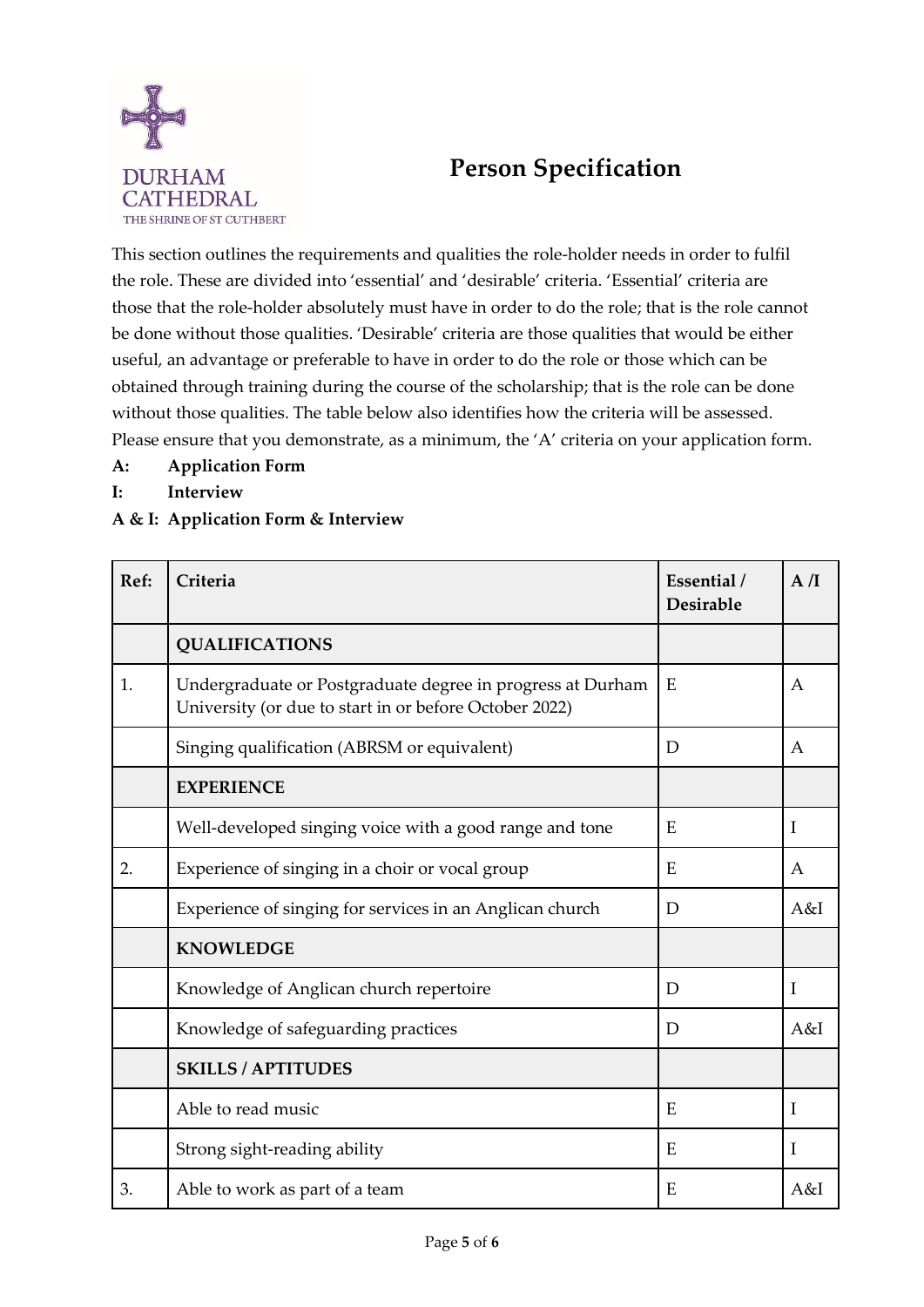

# **Person Specification**

This section outlines the requirements and qualities the role-holder needs in order to fulfil the role. These are divided into 'essential' and 'desirable' criteria. 'Essential' criteria are those that the role-holder absolutely must have in order to do the role; that is the role cannot be done without those qualities. 'Desirable' criteria are those qualities that would be either useful, an advantage or preferable to have in order to do the role or those which can be obtained through training during the course of the scholarship; that is the role can be done without those qualities. The table below also identifies how the criteria will be assessed. Please ensure that you demonstrate, as a minimum, the 'A' criteria on your application form.

- **A: Application Form**
- **I: Interview**

## **A & I: Application Form & Interview**

| Ref: | Criteria                                                                                                             | Essential /<br><b>Desirable</b> | A/I              |
|------|----------------------------------------------------------------------------------------------------------------------|---------------------------------|------------------|
|      | <b>QUALIFICATIONS</b>                                                                                                |                                 |                  |
| 1.   | Undergraduate or Postgraduate degree in progress at Durham<br>University (or due to start in or before October 2022) | E                               | $\mathsf{A}$     |
|      | Singing qualification (ABRSM or equivalent)                                                                          | D                               | A                |
|      | <b>EXPERIENCE</b>                                                                                                    |                                 |                  |
|      | Well-developed singing voice with a good range and tone                                                              | E                               | $\mathbf I$      |
| 2.   | Experience of singing in a choir or vocal group                                                                      | E                               | $\boldsymbol{A}$ |
|      | Experience of singing for services in an Anglican church                                                             | D                               | A&I              |
|      | <b>KNOWLEDGE</b>                                                                                                     |                                 |                  |
|      | Knowledge of Anglican church repertoire                                                                              | D                               | $\mathbf I$      |
|      | Knowledge of safeguarding practices                                                                                  | D                               | A&I              |
|      | <b>SKILLS / APTITUDES</b>                                                                                            |                                 |                  |
|      | Able to read music                                                                                                   | E,                              | I                |
|      | Strong sight-reading ability                                                                                         | E                               | $\mathbf I$      |
| 3.   | Able to work as part of a team                                                                                       | E                               | A&I              |